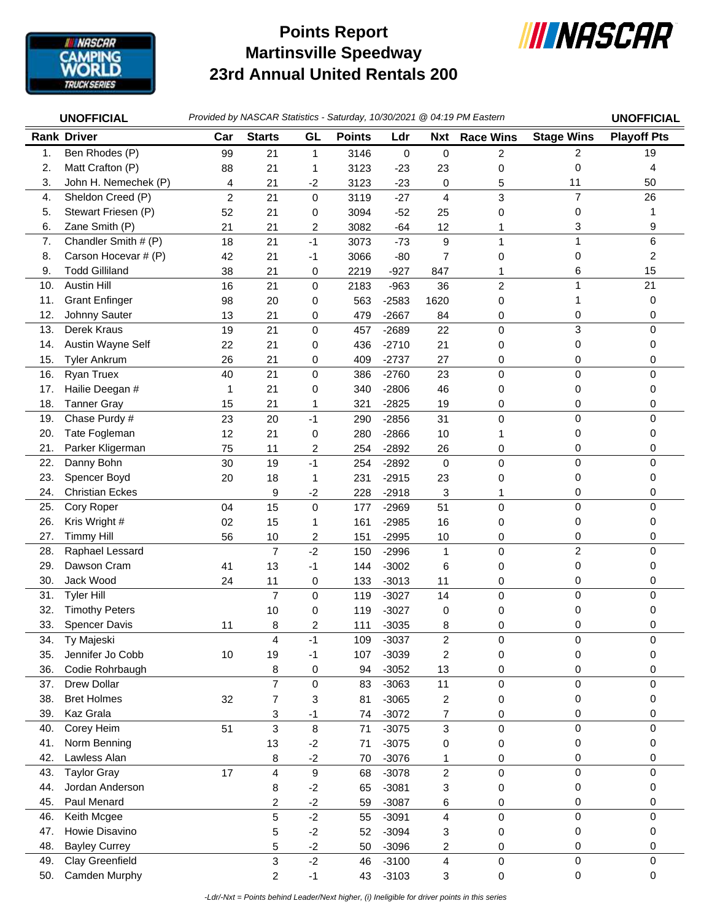

## **Martinsville Speedway 23rd Annual United Rentals 200 Points Report**



|     | <b>UNOFFICIAL</b>      | Provided by NASCAR Statistics - Saturday, 10/30/2021 @ 04:19 PM Eastern | <b>UNOFFICIAL</b>       |             |               |           |                  |                     |                   |                    |
|-----|------------------------|-------------------------------------------------------------------------|-------------------------|-------------|---------------|-----------|------------------|---------------------|-------------------|--------------------|
|     | <b>Rank Driver</b>     | Car                                                                     | <b>Starts</b>           | GL          | <b>Points</b> | Ldr       | <b>Nxt</b>       | <b>Race Wins</b>    | <b>Stage Wins</b> | <b>Playoff Pts</b> |
| 1.  | Ben Rhodes (P)         | 99                                                                      | 21                      | 1           | 3146          | $\pmb{0}$ | $\pmb{0}$        | 2                   | 2                 | 19                 |
| 2.  | Matt Crafton (P)       | 88                                                                      | 21                      | 1           | 3123          | $-23$     | 23               | 0                   | 0                 | 4                  |
| 3.  | John H. Nemechek (P)   | 4                                                                       | 21                      | $-2$        | 3123          | $-23$     | 0                | 5                   | 11                | 50                 |
| 4.  | Sheldon Creed (P)      | $\overline{c}$                                                          | 21                      | 0           | 3119          | $-27$     | 4                | 3                   | $\overline{7}$    | 26                 |
| 5.  | Stewart Friesen (P)    | 52                                                                      | 21                      | 0           | 3094          | $-52$     | 25               | 0                   | 0                 |                    |
| 6.  | Zane Smith (P)         | 21                                                                      | 21                      | 2           | 3082          | $-64$     | 12               |                     | 3                 | 9                  |
| 7.  | Chandler Smith # (P)   | 18                                                                      | 21                      | $-1$        | 3073          | $-73$     | $\boldsymbol{9}$ | 1                   | 1                 | 6                  |
| 8.  | Carson Hocevar # (P)   | 42                                                                      | 21                      | -1          | 3066          | $-80$     | 7                | 0                   | 0                 | 2                  |
| 9.  | <b>Todd Gilliland</b>  | 38                                                                      | 21                      | 0           | 2219          | $-927$    | 847              | 1                   | 6                 | 15                 |
| 10. | <b>Austin Hill</b>     | 16                                                                      | 21                      | $\mathbf 0$ | 2183          | $-963$    | 36               | $\overline{c}$      | 1                 | 21                 |
| 11. | <b>Grant Enfinger</b>  | 98                                                                      | 20                      | 0           | 563           | $-2583$   | 1620             | 0                   | 1                 | 0                  |
| 12. | Johnny Sauter          | 13                                                                      | 21                      | 0           | 479           | $-2667$   | 84               | 0                   | 0                 | 0                  |
| 13. | Derek Kraus            | 19                                                                      | 21                      | $\mathsf 0$ | 457           | $-2689$   | 22               | 0                   | 3                 | 0                  |
| 14. | Austin Wayne Self      | 22                                                                      | 21                      | 0           | 436           | $-2710$   | 21               | 0                   | 0                 | 0                  |
| 15. | <b>Tyler Ankrum</b>    | 26                                                                      | 21                      | 0           | 409           | $-2737$   | 27               | 0                   | 0                 | 0                  |
| 16. | Ryan Truex             | 40                                                                      | 21                      | 0           | 386           | $-2760$   | 23               | 0                   | 0                 | 0                  |
| 17. | Hailie Deegan #        | 1                                                                       | 21                      | 0           | 340           | $-2806$   | 46               | 0                   | 0                 | 0                  |
| 18. | <b>Tanner Gray</b>     | 15                                                                      | 21                      | 1           | 321           | $-2825$   | 19               | 0                   | 0                 | 0                  |
| 19. | Chase Purdy #          | 23                                                                      | 20                      | $-1$        | 290           | $-2856$   | 31               | 0                   | 0                 | $\Omega$           |
| 20. | Tate Fogleman          | 12                                                                      | 21                      | 0           | 280           | $-2866$   | 10               | 1                   | 0                 | 0                  |
| 21. | Parker Kligerman       | 75                                                                      | 11                      | 2           | 254           | $-2892$   | 26               | 0                   | 0                 | 0                  |
| 22. | Danny Bohn             | 30                                                                      | 19                      | $-1$        | 254           | $-2892$   | $\mathbf 0$      | 0                   | 0                 | 0                  |
| 23. | Spencer Boyd           | 20                                                                      | 18                      | 1           | 231           | $-2915$   | 23               | 0                   | 0                 | 0                  |
| 24. | <b>Christian Eckes</b> |                                                                         | 9                       | $-2$        | 228           | $-2918$   | 3                | 1                   | 0                 | 0                  |
| 25. | Cory Roper             | 04                                                                      | 15                      | $\mathbf 0$ | 177           | $-2969$   | 51               | 0                   | 0                 | $\Omega$           |
| 26. | Kris Wright #          | 02                                                                      | 15                      | 1           | 161           | $-2985$   | 16               | 0                   | 0                 | 0                  |
| 27. | <b>Timmy Hill</b>      | 56                                                                      | 10                      | 2           | 151           | $-2995$   | 10               | 0                   | 0                 | 0                  |
| 28. | Raphael Lessard        |                                                                         | $\overline{7}$          | $-2$        | 150           | $-2996$   | $\mathbf{1}$     | 0                   | $\overline{c}$    | $\Omega$           |
| 29. | Dawson Cram            | 41                                                                      | 13                      | $-1$        | 144           | $-3002$   | 6                | 0                   | 0                 | 0                  |
| 30. | Jack Wood              | 24                                                                      | 11                      | 0           | 133           | $-3013$   | 11               | 0                   | 0                 | 0                  |
| 31. | <b>Tyler Hill</b>      |                                                                         | $\overline{7}$          | $\mathsf 0$ | 119           | $-3027$   | 14               | 0                   | 0                 | 0                  |
| 32. | <b>Timothy Peters</b>  |                                                                         | 10                      | 0           | 119           | $-3027$   | 0                | 0                   | 0                 | 0                  |
| 33. | <b>Spencer Davis</b>   | 11                                                                      | 8                       | 2           | 111           | $-3035$   | 8                | 0                   | 0                 | 0                  |
| 34. | Ty Majeski             |                                                                         | 4                       | $-1$        | 109           | $-3037$   | $\overline{c}$   | 0                   | 0                 | 0                  |
| 35. | Jennifer Jo Cobb       | 10                                                                      | 19                      | -1          | 107           | $-3039$   | 2                | 0                   | 0                 | 0                  |
| 36. | Codie Rohrbaugh        |                                                                         | 8                       | 0           | 94            | $-3052$   | 13               | 0                   | 0                 | 0                  |
| 37. | Drew Dollar            |                                                                         | $\overline{7}$          | $\mathbf 0$ | 83            | $-3063$   | 11               | 0                   | 0                 | 0                  |
| 38. | <b>Bret Holmes</b>     | 32                                                                      | $\boldsymbol{7}$        | 3           | 81            | $-3065$   | $\boldsymbol{2}$ | 0                   | 0                 | 0                  |
| 39. | Kaz Grala              |                                                                         | 3                       | -1          | 74            | $-3072$   | 7                | 0                   | 0                 | 0                  |
| 40. | Corey Heim             | 51                                                                      | 3                       | 8           | 71            | $-3075$   | 3                | 0                   | 0                 | 0                  |
| 41. | Norm Benning           |                                                                         | 13                      | $-2$        | 71            | $-3075$   | 0                | 0                   | 0                 | 0                  |
| 42. | Lawless Alan           |                                                                         | 8                       | $-2$        | 70            | $-3076$   | 1                | 0                   | 0                 | 0                  |
| 43. | <b>Taylor Gray</b>     | 17                                                                      | 4                       | 9           | 68            | $-3078$   | $\overline{c}$   | 0                   | $\pmb{0}$         | $\mathbf 0$        |
| 44. | Jordan Anderson        |                                                                         | 8                       | $-2$        | 65            | $-3081$   | 3                | 0                   | 0                 | 0                  |
| 45. | Paul Menard            |                                                                         | $\overline{\mathbf{c}}$ | $-2$        | 59            | $-3087$   | 6                | 0                   | 0                 | 0                  |
| 46. | Keith Mcgee            |                                                                         | 5                       | $-2$        | 55            | $-3091$   | 4                | 0                   | 0                 | 0                  |
| 47. | Howie Disavino         |                                                                         | 5                       | $-2$        | 52            | $-3094$   | 3                | 0                   | 0                 | 0                  |
| 48. | <b>Bayley Currey</b>   |                                                                         | 5                       | $-2$        | 50            | $-3096$   | 2                | 0                   | 0                 | 0                  |
| 49. | Clay Greenfield        |                                                                         | 3                       | $-2$        | 46            | $-3100$   | 4                | $\mathsf{O}\xspace$ | 0                 | $\mathbf 0$        |
| 50. | Camden Murphy          |                                                                         | $\overline{c}$          | $-1$        | 43            | $-3103$   | 3                | 0                   | 0                 | 0                  |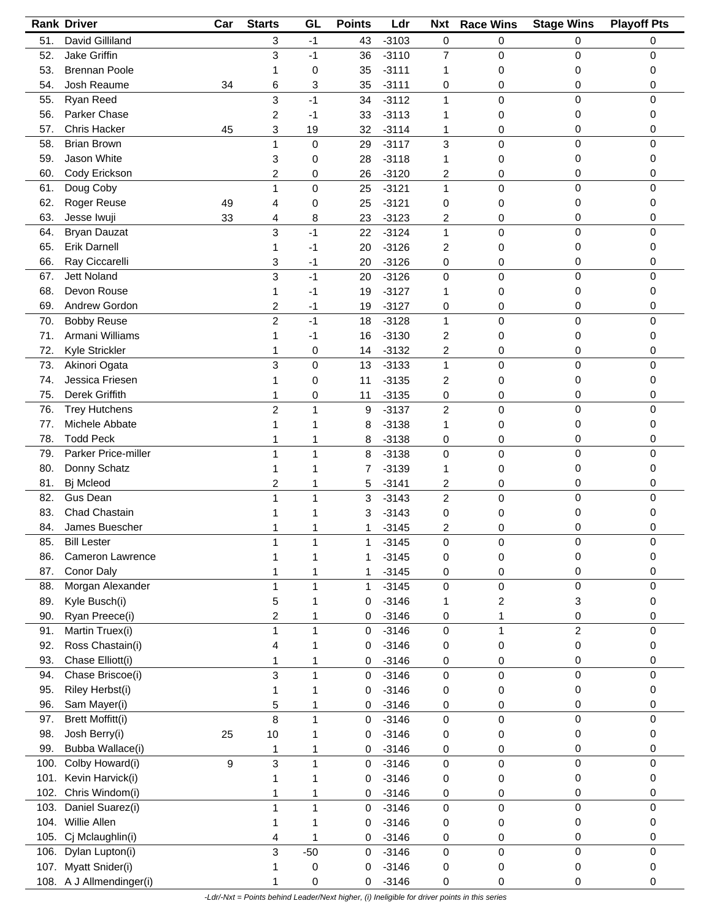| David Gilliland<br>51.<br>$-3103$<br>0<br>3<br>43<br>0<br>0<br>0<br>$-1$<br>Jake Griffin<br>3<br>$-3110$<br>0<br>52.<br>$-1$<br>$\overline{7}$<br>0<br>0<br>36<br>53.<br><b>Brennan Poole</b><br>$-3111$<br>35<br>0<br>1<br>0<br>0<br>0<br>1<br>54.<br>Josh Reaume<br>$-3111$<br>3<br>35<br>0<br>0<br>34<br>6<br>0<br>0<br>Ryan Reed<br>$-3112$<br>55.<br>3<br>$-1$<br>1<br>0<br>0<br>0<br>34<br>Parker Chase<br>56.<br>2<br>33<br>$-3113$<br>0<br>0<br>-1<br>1<br>0<br>57.<br>Chris Hacker<br>45<br>$-3114$<br>3<br>19<br>32<br>0<br>0<br>0<br>1<br><b>Brian Brown</b><br>$\mathbf 0$<br>0<br>58.<br>3<br>0<br>$-3117$<br>0<br>1<br>29<br>Jason White<br>59.<br>$-3118$<br>3<br>0<br>28<br>1<br>0<br>0<br>0<br>60.<br>Cody Erickson<br>$-3120$<br>0<br>2<br>0<br>26<br>2<br>0<br>0<br>Doug Coby<br>1<br>$\pmb{0}$<br>0<br>61.<br>0<br>$-3121$<br>0<br>1<br>25<br>62.<br>Roger Reuse<br>$-3121$<br>49<br>25<br>0<br>0<br>0<br>0<br>0<br>4<br>63.<br>$-3123$<br>Jesse Iwuji<br>33<br>23<br>2<br>0<br>0<br>0<br>4<br>8<br>3<br>0<br>0<br>64.<br><b>Bryan Dauzat</b><br>22<br>$-3124$<br>1<br>0<br>-1<br><b>Erik Darnell</b><br>65.<br>$-3126$<br>2<br>20<br>0<br>0<br>-1<br>0<br>1<br>66.<br>Ray Ciccarelli<br>0<br>0<br>3<br>$-3126$<br>20<br>0<br>0<br>-1<br><b>Jett Noland</b><br>$\mathbf 0$<br>$\mathbf 0$<br>0<br>3<br>$-1$<br>$-3126$<br>0<br>67.<br>20<br>Devon Rouse<br>68.<br>$-3127$<br>19<br>0<br>0<br>0<br>1<br>-1<br>1<br>69.<br>Andrew Gordon<br>2<br>19<br>$-3127$<br>0<br>0<br>0<br>-1<br>0<br><b>Bobby Reuse</b><br>$\overline{c}$<br>70.<br>$-1$<br>$-3128$<br>$\mathbf{1}$<br>0<br>0<br>0<br>18<br>71.<br>Armani Williams<br>$-3130$<br>16<br>2<br>0<br>0<br>-1<br>0<br>1<br>72.<br>Kyle Strickler<br>$-3132$<br>2<br>0<br>14<br>0<br>0<br>0<br>1<br>Akinori Ogata<br>0<br>0<br>73.<br>3<br>0<br>$\mathbf 0$<br>13<br>$-3133$<br>1<br>Jessica Friesen<br>$-3135$<br>74.<br>11<br>2<br>0<br>0<br>0<br>0<br>Derek Griffith<br>75.<br>$-3135$<br>0<br>0<br>0<br>0<br>11<br>0<br>1<br>$\overline{c}$<br>$-3137$<br>$\overline{c}$<br>0<br>0<br><b>Trey Hutchens</b><br>1<br>9<br>$\pmb{0}$<br>76.<br>77.<br>Michele Abbate<br>$-3138$<br>0<br>0<br>1<br>8<br>1<br>0<br><b>Todd Peck</b><br>78.<br>$-3138$<br>0<br>0<br>0<br>0<br>8<br>1<br>Parker Price-miller<br>$\pmb{0}$<br>79.<br>0<br>0<br>0<br>1<br>8<br>$-3138$<br>1<br>80.<br>Donny Schatz<br>$-3139$<br>0<br>0<br>7<br>1<br>0<br>81.<br>Bj Mcleod<br>0<br>0<br>2<br>5<br>$-3141$<br>2<br>0<br>1<br>Gus Dean<br>$\overline{c}$<br>0<br>0<br>82.<br>0<br>1<br>1<br>3<br>$-3143$<br>Chad Chastain<br>83.<br>$-3143$<br>0<br>0<br>0<br>3<br>0<br>James Buescher<br>0<br>84.<br>$-3145$<br>2<br>0<br>0<br>85.<br><b>Bill Lester</b><br>$-3145$<br>$\pmb{0}$<br>0<br>0<br>$\overline{A}$<br>$\overline{A}$<br>0<br>86.<br>Cameron Lawrence<br>$-3145$<br>0<br>0<br>0<br>0<br>Conor Daly<br>87.<br>$-3145$<br>0<br>0<br>0<br>1<br>0<br>1<br>$\pmb{0}$<br>Morgan Alexander<br>0<br>88.<br>$\mathbf 0$<br>1<br>$-3145$<br>$\pmb{0}$<br>1<br>1<br>89.<br>Kyle Busch(i)<br>$-3146$<br>3<br>5<br>2<br>0<br>1<br>0<br>1<br>90.<br>Ryan Preece(i)<br>0<br>2<br>$-3146$<br>0<br>0<br>0<br>1<br>1<br>$\overline{c}$<br>Martin Truex(i)<br>0<br>$\mathbf 0$<br>91.<br>1<br>1<br>0<br>$-3146$<br>$\mathbf{1}$<br>92.<br>Ross Chastain(i)<br>$-3146$<br>0<br>0<br>0<br>0<br>4<br>1<br>0<br>Chase Elliott(i)<br>93.<br>$-3146$<br>0<br>0<br>0<br>0<br>1<br>0<br>Chase Briscoe(i)<br>3<br>$\mathsf{O}\xspace$<br>0<br>0<br>$-3146$<br>0<br>94.<br>1<br>0<br>Riley Herbst(i)<br>95.<br>$-3146$<br>0<br>0<br>0<br>0<br>0<br>1<br>96.<br>Sam Mayer(i)<br>5<br>$-3146$<br>0<br>0<br>0<br>0<br>0<br>1<br>8<br>$\pmb{0}$<br>97.<br><b>Brett Moffitt(i)</b><br>$-3146$<br>$\pmb{0}$<br>0<br>0<br>1<br>0<br>Josh Berry(i)<br>98.<br>25<br>10<br>$-3146$<br>0<br>0<br>0<br>0<br>0<br>1<br>Bubba Wallace(i)<br>99.<br>$-3146$<br>0<br>0<br>0<br>1<br>0<br>0<br>1<br>Colby Howard(i)<br>9<br>3<br>0<br>0<br>100.<br>1<br>$-3146$<br>0<br>$\pmb{0}$<br>0<br>101.<br>Kevin Harvick(i)<br>$-3146$<br>0<br>0<br>0<br>0<br>0<br>Chris Windom(i)<br>102.<br>$-3146$<br>0<br>0<br>0<br>0<br>1<br>0<br>Daniel Suarez(i)<br>$\mathbf 0$<br>$\pmb{0}$<br>0<br>103.<br>$-3146$<br>$\mathsf{O}\xspace$<br>1<br>1<br>0<br>Willie Allen<br>104.<br>$-3146$<br>0<br>0<br>0<br>0<br>1<br>0<br>1<br>105.<br>Cj Mclaughlin(i)<br>$-3146$<br>0<br>0<br>0<br>4<br>0<br>0<br>1<br>3<br>$\pmb{0}$<br>$-50$<br>0<br>106.<br>Dylan Lupton(i)<br>$-3146$<br>0<br>0<br>0<br>Myatt Snider(i)<br>107.<br>0<br>$-3146$<br>0<br>0<br>0<br>0<br>0<br>1<br>108. A J Allmendinger(i) | <b>Rank Driver</b> | Car | <b>Starts</b> | GL | <b>Points</b> | Ldr     | <b>Nxt</b> | <b>Race Wins</b> | <b>Stage Wins</b> | <b>Playoff Pts</b> |
|--------------------------------------------------------------------------------------------------------------------------------------------------------------------------------------------------------------------------------------------------------------------------------------------------------------------------------------------------------------------------------------------------------------------------------------------------------------------------------------------------------------------------------------------------------------------------------------------------------------------------------------------------------------------------------------------------------------------------------------------------------------------------------------------------------------------------------------------------------------------------------------------------------------------------------------------------------------------------------------------------------------------------------------------------------------------------------------------------------------------------------------------------------------------------------------------------------------------------------------------------------------------------------------------------------------------------------------------------------------------------------------------------------------------------------------------------------------------------------------------------------------------------------------------------------------------------------------------------------------------------------------------------------------------------------------------------------------------------------------------------------------------------------------------------------------------------------------------------------------------------------------------------------------------------------------------------------------------------------------------------------------------------------------------------------------------------------------------------------------------------------------------------------------------------------------------------------------------------------------------------------------------------------------------------------------------------------------------------------------------------------------------------------------------------------------------------------------------------------------------------------------------------------------------------------------------------------------------------------------------------------------------------------------------------------------------------------------------------------------------------------------------------------------------------------------------------------------------------------------------------------------------------------------------------------------------------------------------------------------------------------------------------------------------------------------------------------------------------------------------------------------------------------------------------------------------------------------------------------------------------------------------------------------------------------------------------------------------------------------------------------------------------------------------------------------------------------------------------------------------------------------------------------------------------------------------------------------------------------------------------------------------------------------------------------------------------------------------------------------------------------------------------------------------------------------------------------------------------------------------------------------------------------------------------------------------------------------------------------------------------------------------------------------------------------------------------------------------------------------------------------------------------------------------------------------------------------------------------------------------------------------------------------------------------------------------------------------------------------------------------------------------------------------------------------------------------------------------------------------------------------------------------------------------------------------------------------------------|--------------------|-----|---------------|----|---------------|---------|------------|------------------|-------------------|--------------------|
|                                                                                                                                                                                                                                                                                                                                                                                                                                                                                                                                                                                                                                                                                                                                                                                                                                                                                                                                                                                                                                                                                                                                                                                                                                                                                                                                                                                                                                                                                                                                                                                                                                                                                                                                                                                                                                                                                                                                                                                                                                                                                                                                                                                                                                                                                                                                                                                                                                                                                                                                                                                                                                                                                                                                                                                                                                                                                                                                                                                                                                                                                                                                                                                                                                                                                                                                                                                                                                                                                                                                                                                                                                                                                                                                                                                                                                                                                                                                                                                                                                                                                                                                                                                                                                                                                                                                                                                                                                                                                                                                                                                            |                    |     |               |    |               |         |            |                  |                   |                    |
|                                                                                                                                                                                                                                                                                                                                                                                                                                                                                                                                                                                                                                                                                                                                                                                                                                                                                                                                                                                                                                                                                                                                                                                                                                                                                                                                                                                                                                                                                                                                                                                                                                                                                                                                                                                                                                                                                                                                                                                                                                                                                                                                                                                                                                                                                                                                                                                                                                                                                                                                                                                                                                                                                                                                                                                                                                                                                                                                                                                                                                                                                                                                                                                                                                                                                                                                                                                                                                                                                                                                                                                                                                                                                                                                                                                                                                                                                                                                                                                                                                                                                                                                                                                                                                                                                                                                                                                                                                                                                                                                                                                            |                    |     |               |    |               |         |            |                  |                   |                    |
|                                                                                                                                                                                                                                                                                                                                                                                                                                                                                                                                                                                                                                                                                                                                                                                                                                                                                                                                                                                                                                                                                                                                                                                                                                                                                                                                                                                                                                                                                                                                                                                                                                                                                                                                                                                                                                                                                                                                                                                                                                                                                                                                                                                                                                                                                                                                                                                                                                                                                                                                                                                                                                                                                                                                                                                                                                                                                                                                                                                                                                                                                                                                                                                                                                                                                                                                                                                                                                                                                                                                                                                                                                                                                                                                                                                                                                                                                                                                                                                                                                                                                                                                                                                                                                                                                                                                                                                                                                                                                                                                                                                            |                    |     |               |    |               |         |            |                  |                   |                    |
|                                                                                                                                                                                                                                                                                                                                                                                                                                                                                                                                                                                                                                                                                                                                                                                                                                                                                                                                                                                                                                                                                                                                                                                                                                                                                                                                                                                                                                                                                                                                                                                                                                                                                                                                                                                                                                                                                                                                                                                                                                                                                                                                                                                                                                                                                                                                                                                                                                                                                                                                                                                                                                                                                                                                                                                                                                                                                                                                                                                                                                                                                                                                                                                                                                                                                                                                                                                                                                                                                                                                                                                                                                                                                                                                                                                                                                                                                                                                                                                                                                                                                                                                                                                                                                                                                                                                                                                                                                                                                                                                                                                            |                    |     |               |    |               |         |            |                  |                   |                    |
|                                                                                                                                                                                                                                                                                                                                                                                                                                                                                                                                                                                                                                                                                                                                                                                                                                                                                                                                                                                                                                                                                                                                                                                                                                                                                                                                                                                                                                                                                                                                                                                                                                                                                                                                                                                                                                                                                                                                                                                                                                                                                                                                                                                                                                                                                                                                                                                                                                                                                                                                                                                                                                                                                                                                                                                                                                                                                                                                                                                                                                                                                                                                                                                                                                                                                                                                                                                                                                                                                                                                                                                                                                                                                                                                                                                                                                                                                                                                                                                                                                                                                                                                                                                                                                                                                                                                                                                                                                                                                                                                                                                            |                    |     |               |    |               |         |            |                  |                   |                    |
|                                                                                                                                                                                                                                                                                                                                                                                                                                                                                                                                                                                                                                                                                                                                                                                                                                                                                                                                                                                                                                                                                                                                                                                                                                                                                                                                                                                                                                                                                                                                                                                                                                                                                                                                                                                                                                                                                                                                                                                                                                                                                                                                                                                                                                                                                                                                                                                                                                                                                                                                                                                                                                                                                                                                                                                                                                                                                                                                                                                                                                                                                                                                                                                                                                                                                                                                                                                                                                                                                                                                                                                                                                                                                                                                                                                                                                                                                                                                                                                                                                                                                                                                                                                                                                                                                                                                                                                                                                                                                                                                                                                            |                    |     |               |    |               |         |            |                  |                   |                    |
|                                                                                                                                                                                                                                                                                                                                                                                                                                                                                                                                                                                                                                                                                                                                                                                                                                                                                                                                                                                                                                                                                                                                                                                                                                                                                                                                                                                                                                                                                                                                                                                                                                                                                                                                                                                                                                                                                                                                                                                                                                                                                                                                                                                                                                                                                                                                                                                                                                                                                                                                                                                                                                                                                                                                                                                                                                                                                                                                                                                                                                                                                                                                                                                                                                                                                                                                                                                                                                                                                                                                                                                                                                                                                                                                                                                                                                                                                                                                                                                                                                                                                                                                                                                                                                                                                                                                                                                                                                                                                                                                                                                            |                    |     |               |    |               |         |            |                  |                   |                    |
|                                                                                                                                                                                                                                                                                                                                                                                                                                                                                                                                                                                                                                                                                                                                                                                                                                                                                                                                                                                                                                                                                                                                                                                                                                                                                                                                                                                                                                                                                                                                                                                                                                                                                                                                                                                                                                                                                                                                                                                                                                                                                                                                                                                                                                                                                                                                                                                                                                                                                                                                                                                                                                                                                                                                                                                                                                                                                                                                                                                                                                                                                                                                                                                                                                                                                                                                                                                                                                                                                                                                                                                                                                                                                                                                                                                                                                                                                                                                                                                                                                                                                                                                                                                                                                                                                                                                                                                                                                                                                                                                                                                            |                    |     |               |    |               |         |            |                  |                   |                    |
|                                                                                                                                                                                                                                                                                                                                                                                                                                                                                                                                                                                                                                                                                                                                                                                                                                                                                                                                                                                                                                                                                                                                                                                                                                                                                                                                                                                                                                                                                                                                                                                                                                                                                                                                                                                                                                                                                                                                                                                                                                                                                                                                                                                                                                                                                                                                                                                                                                                                                                                                                                                                                                                                                                                                                                                                                                                                                                                                                                                                                                                                                                                                                                                                                                                                                                                                                                                                                                                                                                                                                                                                                                                                                                                                                                                                                                                                                                                                                                                                                                                                                                                                                                                                                                                                                                                                                                                                                                                                                                                                                                                            |                    |     |               |    |               |         |            |                  |                   |                    |
|                                                                                                                                                                                                                                                                                                                                                                                                                                                                                                                                                                                                                                                                                                                                                                                                                                                                                                                                                                                                                                                                                                                                                                                                                                                                                                                                                                                                                                                                                                                                                                                                                                                                                                                                                                                                                                                                                                                                                                                                                                                                                                                                                                                                                                                                                                                                                                                                                                                                                                                                                                                                                                                                                                                                                                                                                                                                                                                                                                                                                                                                                                                                                                                                                                                                                                                                                                                                                                                                                                                                                                                                                                                                                                                                                                                                                                                                                                                                                                                                                                                                                                                                                                                                                                                                                                                                                                                                                                                                                                                                                                                            |                    |     |               |    |               |         |            |                  |                   |                    |
|                                                                                                                                                                                                                                                                                                                                                                                                                                                                                                                                                                                                                                                                                                                                                                                                                                                                                                                                                                                                                                                                                                                                                                                                                                                                                                                                                                                                                                                                                                                                                                                                                                                                                                                                                                                                                                                                                                                                                                                                                                                                                                                                                                                                                                                                                                                                                                                                                                                                                                                                                                                                                                                                                                                                                                                                                                                                                                                                                                                                                                                                                                                                                                                                                                                                                                                                                                                                                                                                                                                                                                                                                                                                                                                                                                                                                                                                                                                                                                                                                                                                                                                                                                                                                                                                                                                                                                                                                                                                                                                                                                                            |                    |     |               |    |               |         |            |                  |                   |                    |
|                                                                                                                                                                                                                                                                                                                                                                                                                                                                                                                                                                                                                                                                                                                                                                                                                                                                                                                                                                                                                                                                                                                                                                                                                                                                                                                                                                                                                                                                                                                                                                                                                                                                                                                                                                                                                                                                                                                                                                                                                                                                                                                                                                                                                                                                                                                                                                                                                                                                                                                                                                                                                                                                                                                                                                                                                                                                                                                                                                                                                                                                                                                                                                                                                                                                                                                                                                                                                                                                                                                                                                                                                                                                                                                                                                                                                                                                                                                                                                                                                                                                                                                                                                                                                                                                                                                                                                                                                                                                                                                                                                                            |                    |     |               |    |               |         |            |                  |                   |                    |
|                                                                                                                                                                                                                                                                                                                                                                                                                                                                                                                                                                                                                                                                                                                                                                                                                                                                                                                                                                                                                                                                                                                                                                                                                                                                                                                                                                                                                                                                                                                                                                                                                                                                                                                                                                                                                                                                                                                                                                                                                                                                                                                                                                                                                                                                                                                                                                                                                                                                                                                                                                                                                                                                                                                                                                                                                                                                                                                                                                                                                                                                                                                                                                                                                                                                                                                                                                                                                                                                                                                                                                                                                                                                                                                                                                                                                                                                                                                                                                                                                                                                                                                                                                                                                                                                                                                                                                                                                                                                                                                                                                                            |                    |     |               |    |               |         |            |                  |                   |                    |
|                                                                                                                                                                                                                                                                                                                                                                                                                                                                                                                                                                                                                                                                                                                                                                                                                                                                                                                                                                                                                                                                                                                                                                                                                                                                                                                                                                                                                                                                                                                                                                                                                                                                                                                                                                                                                                                                                                                                                                                                                                                                                                                                                                                                                                                                                                                                                                                                                                                                                                                                                                                                                                                                                                                                                                                                                                                                                                                                                                                                                                                                                                                                                                                                                                                                                                                                                                                                                                                                                                                                                                                                                                                                                                                                                                                                                                                                                                                                                                                                                                                                                                                                                                                                                                                                                                                                                                                                                                                                                                                                                                                            |                    |     |               |    |               |         |            |                  |                   |                    |
|                                                                                                                                                                                                                                                                                                                                                                                                                                                                                                                                                                                                                                                                                                                                                                                                                                                                                                                                                                                                                                                                                                                                                                                                                                                                                                                                                                                                                                                                                                                                                                                                                                                                                                                                                                                                                                                                                                                                                                                                                                                                                                                                                                                                                                                                                                                                                                                                                                                                                                                                                                                                                                                                                                                                                                                                                                                                                                                                                                                                                                                                                                                                                                                                                                                                                                                                                                                                                                                                                                                                                                                                                                                                                                                                                                                                                                                                                                                                                                                                                                                                                                                                                                                                                                                                                                                                                                                                                                                                                                                                                                                            |                    |     |               |    |               |         |            |                  |                   |                    |
|                                                                                                                                                                                                                                                                                                                                                                                                                                                                                                                                                                                                                                                                                                                                                                                                                                                                                                                                                                                                                                                                                                                                                                                                                                                                                                                                                                                                                                                                                                                                                                                                                                                                                                                                                                                                                                                                                                                                                                                                                                                                                                                                                                                                                                                                                                                                                                                                                                                                                                                                                                                                                                                                                                                                                                                                                                                                                                                                                                                                                                                                                                                                                                                                                                                                                                                                                                                                                                                                                                                                                                                                                                                                                                                                                                                                                                                                                                                                                                                                                                                                                                                                                                                                                                                                                                                                                                                                                                                                                                                                                                                            |                    |     |               |    |               |         |            |                  |                   |                    |
|                                                                                                                                                                                                                                                                                                                                                                                                                                                                                                                                                                                                                                                                                                                                                                                                                                                                                                                                                                                                                                                                                                                                                                                                                                                                                                                                                                                                                                                                                                                                                                                                                                                                                                                                                                                                                                                                                                                                                                                                                                                                                                                                                                                                                                                                                                                                                                                                                                                                                                                                                                                                                                                                                                                                                                                                                                                                                                                                                                                                                                                                                                                                                                                                                                                                                                                                                                                                                                                                                                                                                                                                                                                                                                                                                                                                                                                                                                                                                                                                                                                                                                                                                                                                                                                                                                                                                                                                                                                                                                                                                                                            |                    |     |               |    |               |         |            |                  |                   |                    |
|                                                                                                                                                                                                                                                                                                                                                                                                                                                                                                                                                                                                                                                                                                                                                                                                                                                                                                                                                                                                                                                                                                                                                                                                                                                                                                                                                                                                                                                                                                                                                                                                                                                                                                                                                                                                                                                                                                                                                                                                                                                                                                                                                                                                                                                                                                                                                                                                                                                                                                                                                                                                                                                                                                                                                                                                                                                                                                                                                                                                                                                                                                                                                                                                                                                                                                                                                                                                                                                                                                                                                                                                                                                                                                                                                                                                                                                                                                                                                                                                                                                                                                                                                                                                                                                                                                                                                                                                                                                                                                                                                                                            |                    |     |               |    |               |         |            |                  |                   |                    |
|                                                                                                                                                                                                                                                                                                                                                                                                                                                                                                                                                                                                                                                                                                                                                                                                                                                                                                                                                                                                                                                                                                                                                                                                                                                                                                                                                                                                                                                                                                                                                                                                                                                                                                                                                                                                                                                                                                                                                                                                                                                                                                                                                                                                                                                                                                                                                                                                                                                                                                                                                                                                                                                                                                                                                                                                                                                                                                                                                                                                                                                                                                                                                                                                                                                                                                                                                                                                                                                                                                                                                                                                                                                                                                                                                                                                                                                                                                                                                                                                                                                                                                                                                                                                                                                                                                                                                                                                                                                                                                                                                                                            |                    |     |               |    |               |         |            |                  |                   |                    |
|                                                                                                                                                                                                                                                                                                                                                                                                                                                                                                                                                                                                                                                                                                                                                                                                                                                                                                                                                                                                                                                                                                                                                                                                                                                                                                                                                                                                                                                                                                                                                                                                                                                                                                                                                                                                                                                                                                                                                                                                                                                                                                                                                                                                                                                                                                                                                                                                                                                                                                                                                                                                                                                                                                                                                                                                                                                                                                                                                                                                                                                                                                                                                                                                                                                                                                                                                                                                                                                                                                                                                                                                                                                                                                                                                                                                                                                                                                                                                                                                                                                                                                                                                                                                                                                                                                                                                                                                                                                                                                                                                                                            |                    |     |               |    |               |         |            |                  |                   |                    |
|                                                                                                                                                                                                                                                                                                                                                                                                                                                                                                                                                                                                                                                                                                                                                                                                                                                                                                                                                                                                                                                                                                                                                                                                                                                                                                                                                                                                                                                                                                                                                                                                                                                                                                                                                                                                                                                                                                                                                                                                                                                                                                                                                                                                                                                                                                                                                                                                                                                                                                                                                                                                                                                                                                                                                                                                                                                                                                                                                                                                                                                                                                                                                                                                                                                                                                                                                                                                                                                                                                                                                                                                                                                                                                                                                                                                                                                                                                                                                                                                                                                                                                                                                                                                                                                                                                                                                                                                                                                                                                                                                                                            |                    |     |               |    |               |         |            |                  |                   |                    |
|                                                                                                                                                                                                                                                                                                                                                                                                                                                                                                                                                                                                                                                                                                                                                                                                                                                                                                                                                                                                                                                                                                                                                                                                                                                                                                                                                                                                                                                                                                                                                                                                                                                                                                                                                                                                                                                                                                                                                                                                                                                                                                                                                                                                                                                                                                                                                                                                                                                                                                                                                                                                                                                                                                                                                                                                                                                                                                                                                                                                                                                                                                                                                                                                                                                                                                                                                                                                                                                                                                                                                                                                                                                                                                                                                                                                                                                                                                                                                                                                                                                                                                                                                                                                                                                                                                                                                                                                                                                                                                                                                                                            |                    |     |               |    |               |         |            |                  |                   |                    |
|                                                                                                                                                                                                                                                                                                                                                                                                                                                                                                                                                                                                                                                                                                                                                                                                                                                                                                                                                                                                                                                                                                                                                                                                                                                                                                                                                                                                                                                                                                                                                                                                                                                                                                                                                                                                                                                                                                                                                                                                                                                                                                                                                                                                                                                                                                                                                                                                                                                                                                                                                                                                                                                                                                                                                                                                                                                                                                                                                                                                                                                                                                                                                                                                                                                                                                                                                                                                                                                                                                                                                                                                                                                                                                                                                                                                                                                                                                                                                                                                                                                                                                                                                                                                                                                                                                                                                                                                                                                                                                                                                                                            |                    |     |               |    |               |         |            |                  |                   |                    |
|                                                                                                                                                                                                                                                                                                                                                                                                                                                                                                                                                                                                                                                                                                                                                                                                                                                                                                                                                                                                                                                                                                                                                                                                                                                                                                                                                                                                                                                                                                                                                                                                                                                                                                                                                                                                                                                                                                                                                                                                                                                                                                                                                                                                                                                                                                                                                                                                                                                                                                                                                                                                                                                                                                                                                                                                                                                                                                                                                                                                                                                                                                                                                                                                                                                                                                                                                                                                                                                                                                                                                                                                                                                                                                                                                                                                                                                                                                                                                                                                                                                                                                                                                                                                                                                                                                                                                                                                                                                                                                                                                                                            |                    |     |               |    |               |         |            |                  |                   |                    |
|                                                                                                                                                                                                                                                                                                                                                                                                                                                                                                                                                                                                                                                                                                                                                                                                                                                                                                                                                                                                                                                                                                                                                                                                                                                                                                                                                                                                                                                                                                                                                                                                                                                                                                                                                                                                                                                                                                                                                                                                                                                                                                                                                                                                                                                                                                                                                                                                                                                                                                                                                                                                                                                                                                                                                                                                                                                                                                                                                                                                                                                                                                                                                                                                                                                                                                                                                                                                                                                                                                                                                                                                                                                                                                                                                                                                                                                                                                                                                                                                                                                                                                                                                                                                                                                                                                                                                                                                                                                                                                                                                                                            |                    |     |               |    |               |         |            |                  |                   |                    |
|                                                                                                                                                                                                                                                                                                                                                                                                                                                                                                                                                                                                                                                                                                                                                                                                                                                                                                                                                                                                                                                                                                                                                                                                                                                                                                                                                                                                                                                                                                                                                                                                                                                                                                                                                                                                                                                                                                                                                                                                                                                                                                                                                                                                                                                                                                                                                                                                                                                                                                                                                                                                                                                                                                                                                                                                                                                                                                                                                                                                                                                                                                                                                                                                                                                                                                                                                                                                                                                                                                                                                                                                                                                                                                                                                                                                                                                                                                                                                                                                                                                                                                                                                                                                                                                                                                                                                                                                                                                                                                                                                                                            |                    |     |               |    |               |         |            |                  |                   |                    |
|                                                                                                                                                                                                                                                                                                                                                                                                                                                                                                                                                                                                                                                                                                                                                                                                                                                                                                                                                                                                                                                                                                                                                                                                                                                                                                                                                                                                                                                                                                                                                                                                                                                                                                                                                                                                                                                                                                                                                                                                                                                                                                                                                                                                                                                                                                                                                                                                                                                                                                                                                                                                                                                                                                                                                                                                                                                                                                                                                                                                                                                                                                                                                                                                                                                                                                                                                                                                                                                                                                                                                                                                                                                                                                                                                                                                                                                                                                                                                                                                                                                                                                                                                                                                                                                                                                                                                                                                                                                                                                                                                                                            |                    |     |               |    |               |         |            |                  |                   |                    |
|                                                                                                                                                                                                                                                                                                                                                                                                                                                                                                                                                                                                                                                                                                                                                                                                                                                                                                                                                                                                                                                                                                                                                                                                                                                                                                                                                                                                                                                                                                                                                                                                                                                                                                                                                                                                                                                                                                                                                                                                                                                                                                                                                                                                                                                                                                                                                                                                                                                                                                                                                                                                                                                                                                                                                                                                                                                                                                                                                                                                                                                                                                                                                                                                                                                                                                                                                                                                                                                                                                                                                                                                                                                                                                                                                                                                                                                                                                                                                                                                                                                                                                                                                                                                                                                                                                                                                                                                                                                                                                                                                                                            |                    |     |               |    |               |         |            |                  |                   |                    |
|                                                                                                                                                                                                                                                                                                                                                                                                                                                                                                                                                                                                                                                                                                                                                                                                                                                                                                                                                                                                                                                                                                                                                                                                                                                                                                                                                                                                                                                                                                                                                                                                                                                                                                                                                                                                                                                                                                                                                                                                                                                                                                                                                                                                                                                                                                                                                                                                                                                                                                                                                                                                                                                                                                                                                                                                                                                                                                                                                                                                                                                                                                                                                                                                                                                                                                                                                                                                                                                                                                                                                                                                                                                                                                                                                                                                                                                                                                                                                                                                                                                                                                                                                                                                                                                                                                                                                                                                                                                                                                                                                                                            |                    |     |               |    |               |         |            |                  |                   |                    |
|                                                                                                                                                                                                                                                                                                                                                                                                                                                                                                                                                                                                                                                                                                                                                                                                                                                                                                                                                                                                                                                                                                                                                                                                                                                                                                                                                                                                                                                                                                                                                                                                                                                                                                                                                                                                                                                                                                                                                                                                                                                                                                                                                                                                                                                                                                                                                                                                                                                                                                                                                                                                                                                                                                                                                                                                                                                                                                                                                                                                                                                                                                                                                                                                                                                                                                                                                                                                                                                                                                                                                                                                                                                                                                                                                                                                                                                                                                                                                                                                                                                                                                                                                                                                                                                                                                                                                                                                                                                                                                                                                                                            |                    |     |               |    |               |         |            |                  |                   |                    |
|                                                                                                                                                                                                                                                                                                                                                                                                                                                                                                                                                                                                                                                                                                                                                                                                                                                                                                                                                                                                                                                                                                                                                                                                                                                                                                                                                                                                                                                                                                                                                                                                                                                                                                                                                                                                                                                                                                                                                                                                                                                                                                                                                                                                                                                                                                                                                                                                                                                                                                                                                                                                                                                                                                                                                                                                                                                                                                                                                                                                                                                                                                                                                                                                                                                                                                                                                                                                                                                                                                                                                                                                                                                                                                                                                                                                                                                                                                                                                                                                                                                                                                                                                                                                                                                                                                                                                                                                                                                                                                                                                                                            |                    |     |               |    |               |         |            |                  |                   |                    |
|                                                                                                                                                                                                                                                                                                                                                                                                                                                                                                                                                                                                                                                                                                                                                                                                                                                                                                                                                                                                                                                                                                                                                                                                                                                                                                                                                                                                                                                                                                                                                                                                                                                                                                                                                                                                                                                                                                                                                                                                                                                                                                                                                                                                                                                                                                                                                                                                                                                                                                                                                                                                                                                                                                                                                                                                                                                                                                                                                                                                                                                                                                                                                                                                                                                                                                                                                                                                                                                                                                                                                                                                                                                                                                                                                                                                                                                                                                                                                                                                                                                                                                                                                                                                                                                                                                                                                                                                                                                                                                                                                                                            |                    |     |               |    |               |         |            |                  |                   |                    |
|                                                                                                                                                                                                                                                                                                                                                                                                                                                                                                                                                                                                                                                                                                                                                                                                                                                                                                                                                                                                                                                                                                                                                                                                                                                                                                                                                                                                                                                                                                                                                                                                                                                                                                                                                                                                                                                                                                                                                                                                                                                                                                                                                                                                                                                                                                                                                                                                                                                                                                                                                                                                                                                                                                                                                                                                                                                                                                                                                                                                                                                                                                                                                                                                                                                                                                                                                                                                                                                                                                                                                                                                                                                                                                                                                                                                                                                                                                                                                                                                                                                                                                                                                                                                                                                                                                                                                                                                                                                                                                                                                                                            |                    |     |               |    |               |         |            |                  |                   |                    |
|                                                                                                                                                                                                                                                                                                                                                                                                                                                                                                                                                                                                                                                                                                                                                                                                                                                                                                                                                                                                                                                                                                                                                                                                                                                                                                                                                                                                                                                                                                                                                                                                                                                                                                                                                                                                                                                                                                                                                                                                                                                                                                                                                                                                                                                                                                                                                                                                                                                                                                                                                                                                                                                                                                                                                                                                                                                                                                                                                                                                                                                                                                                                                                                                                                                                                                                                                                                                                                                                                                                                                                                                                                                                                                                                                                                                                                                                                                                                                                                                                                                                                                                                                                                                                                                                                                                                                                                                                                                                                                                                                                                            |                    |     |               |    |               |         |            |                  |                   |                    |
|                                                                                                                                                                                                                                                                                                                                                                                                                                                                                                                                                                                                                                                                                                                                                                                                                                                                                                                                                                                                                                                                                                                                                                                                                                                                                                                                                                                                                                                                                                                                                                                                                                                                                                                                                                                                                                                                                                                                                                                                                                                                                                                                                                                                                                                                                                                                                                                                                                                                                                                                                                                                                                                                                                                                                                                                                                                                                                                                                                                                                                                                                                                                                                                                                                                                                                                                                                                                                                                                                                                                                                                                                                                                                                                                                                                                                                                                                                                                                                                                                                                                                                                                                                                                                                                                                                                                                                                                                                                                                                                                                                                            |                    |     |               |    |               |         |            |                  |                   |                    |
|                                                                                                                                                                                                                                                                                                                                                                                                                                                                                                                                                                                                                                                                                                                                                                                                                                                                                                                                                                                                                                                                                                                                                                                                                                                                                                                                                                                                                                                                                                                                                                                                                                                                                                                                                                                                                                                                                                                                                                                                                                                                                                                                                                                                                                                                                                                                                                                                                                                                                                                                                                                                                                                                                                                                                                                                                                                                                                                                                                                                                                                                                                                                                                                                                                                                                                                                                                                                                                                                                                                                                                                                                                                                                                                                                                                                                                                                                                                                                                                                                                                                                                                                                                                                                                                                                                                                                                                                                                                                                                                                                                                            |                    |     |               |    |               |         |            |                  |                   |                    |
|                                                                                                                                                                                                                                                                                                                                                                                                                                                                                                                                                                                                                                                                                                                                                                                                                                                                                                                                                                                                                                                                                                                                                                                                                                                                                                                                                                                                                                                                                                                                                                                                                                                                                                                                                                                                                                                                                                                                                                                                                                                                                                                                                                                                                                                                                                                                                                                                                                                                                                                                                                                                                                                                                                                                                                                                                                                                                                                                                                                                                                                                                                                                                                                                                                                                                                                                                                                                                                                                                                                                                                                                                                                                                                                                                                                                                                                                                                                                                                                                                                                                                                                                                                                                                                                                                                                                                                                                                                                                                                                                                                                            |                    |     |               |    |               |         |            |                  |                   |                    |
|                                                                                                                                                                                                                                                                                                                                                                                                                                                                                                                                                                                                                                                                                                                                                                                                                                                                                                                                                                                                                                                                                                                                                                                                                                                                                                                                                                                                                                                                                                                                                                                                                                                                                                                                                                                                                                                                                                                                                                                                                                                                                                                                                                                                                                                                                                                                                                                                                                                                                                                                                                                                                                                                                                                                                                                                                                                                                                                                                                                                                                                                                                                                                                                                                                                                                                                                                                                                                                                                                                                                                                                                                                                                                                                                                                                                                                                                                                                                                                                                                                                                                                                                                                                                                                                                                                                                                                                                                                                                                                                                                                                            |                    |     |               |    |               |         |            |                  |                   |                    |
|                                                                                                                                                                                                                                                                                                                                                                                                                                                                                                                                                                                                                                                                                                                                                                                                                                                                                                                                                                                                                                                                                                                                                                                                                                                                                                                                                                                                                                                                                                                                                                                                                                                                                                                                                                                                                                                                                                                                                                                                                                                                                                                                                                                                                                                                                                                                                                                                                                                                                                                                                                                                                                                                                                                                                                                                                                                                                                                                                                                                                                                                                                                                                                                                                                                                                                                                                                                                                                                                                                                                                                                                                                                                                                                                                                                                                                                                                                                                                                                                                                                                                                                                                                                                                                                                                                                                                                                                                                                                                                                                                                                            |                    |     |               |    |               |         |            |                  |                   |                    |
|                                                                                                                                                                                                                                                                                                                                                                                                                                                                                                                                                                                                                                                                                                                                                                                                                                                                                                                                                                                                                                                                                                                                                                                                                                                                                                                                                                                                                                                                                                                                                                                                                                                                                                                                                                                                                                                                                                                                                                                                                                                                                                                                                                                                                                                                                                                                                                                                                                                                                                                                                                                                                                                                                                                                                                                                                                                                                                                                                                                                                                                                                                                                                                                                                                                                                                                                                                                                                                                                                                                                                                                                                                                                                                                                                                                                                                                                                                                                                                                                                                                                                                                                                                                                                                                                                                                                                                                                                                                                                                                                                                                            |                    |     |               |    |               |         |            |                  |                   |                    |
|                                                                                                                                                                                                                                                                                                                                                                                                                                                                                                                                                                                                                                                                                                                                                                                                                                                                                                                                                                                                                                                                                                                                                                                                                                                                                                                                                                                                                                                                                                                                                                                                                                                                                                                                                                                                                                                                                                                                                                                                                                                                                                                                                                                                                                                                                                                                                                                                                                                                                                                                                                                                                                                                                                                                                                                                                                                                                                                                                                                                                                                                                                                                                                                                                                                                                                                                                                                                                                                                                                                                                                                                                                                                                                                                                                                                                                                                                                                                                                                                                                                                                                                                                                                                                                                                                                                                                                                                                                                                                                                                                                                            |                    |     |               |    |               |         |            |                  |                   |                    |
|                                                                                                                                                                                                                                                                                                                                                                                                                                                                                                                                                                                                                                                                                                                                                                                                                                                                                                                                                                                                                                                                                                                                                                                                                                                                                                                                                                                                                                                                                                                                                                                                                                                                                                                                                                                                                                                                                                                                                                                                                                                                                                                                                                                                                                                                                                                                                                                                                                                                                                                                                                                                                                                                                                                                                                                                                                                                                                                                                                                                                                                                                                                                                                                                                                                                                                                                                                                                                                                                                                                                                                                                                                                                                                                                                                                                                                                                                                                                                                                                                                                                                                                                                                                                                                                                                                                                                                                                                                                                                                                                                                                            |                    |     |               |    |               |         |            |                  |                   |                    |
|                                                                                                                                                                                                                                                                                                                                                                                                                                                                                                                                                                                                                                                                                                                                                                                                                                                                                                                                                                                                                                                                                                                                                                                                                                                                                                                                                                                                                                                                                                                                                                                                                                                                                                                                                                                                                                                                                                                                                                                                                                                                                                                                                                                                                                                                                                                                                                                                                                                                                                                                                                                                                                                                                                                                                                                                                                                                                                                                                                                                                                                                                                                                                                                                                                                                                                                                                                                                                                                                                                                                                                                                                                                                                                                                                                                                                                                                                                                                                                                                                                                                                                                                                                                                                                                                                                                                                                                                                                                                                                                                                                                            |                    |     |               |    |               |         |            |                  |                   |                    |
|                                                                                                                                                                                                                                                                                                                                                                                                                                                                                                                                                                                                                                                                                                                                                                                                                                                                                                                                                                                                                                                                                                                                                                                                                                                                                                                                                                                                                                                                                                                                                                                                                                                                                                                                                                                                                                                                                                                                                                                                                                                                                                                                                                                                                                                                                                                                                                                                                                                                                                                                                                                                                                                                                                                                                                                                                                                                                                                                                                                                                                                                                                                                                                                                                                                                                                                                                                                                                                                                                                                                                                                                                                                                                                                                                                                                                                                                                                                                                                                                                                                                                                                                                                                                                                                                                                                                                                                                                                                                                                                                                                                            |                    |     |               |    |               |         |            |                  |                   |                    |
|                                                                                                                                                                                                                                                                                                                                                                                                                                                                                                                                                                                                                                                                                                                                                                                                                                                                                                                                                                                                                                                                                                                                                                                                                                                                                                                                                                                                                                                                                                                                                                                                                                                                                                                                                                                                                                                                                                                                                                                                                                                                                                                                                                                                                                                                                                                                                                                                                                                                                                                                                                                                                                                                                                                                                                                                                                                                                                                                                                                                                                                                                                                                                                                                                                                                                                                                                                                                                                                                                                                                                                                                                                                                                                                                                                                                                                                                                                                                                                                                                                                                                                                                                                                                                                                                                                                                                                                                                                                                                                                                                                                            |                    |     |               |    |               |         |            |                  |                   |                    |
|                                                                                                                                                                                                                                                                                                                                                                                                                                                                                                                                                                                                                                                                                                                                                                                                                                                                                                                                                                                                                                                                                                                                                                                                                                                                                                                                                                                                                                                                                                                                                                                                                                                                                                                                                                                                                                                                                                                                                                                                                                                                                                                                                                                                                                                                                                                                                                                                                                                                                                                                                                                                                                                                                                                                                                                                                                                                                                                                                                                                                                                                                                                                                                                                                                                                                                                                                                                                                                                                                                                                                                                                                                                                                                                                                                                                                                                                                                                                                                                                                                                                                                                                                                                                                                                                                                                                                                                                                                                                                                                                                                                            |                    |     |               |    |               |         |            |                  |                   |                    |
|                                                                                                                                                                                                                                                                                                                                                                                                                                                                                                                                                                                                                                                                                                                                                                                                                                                                                                                                                                                                                                                                                                                                                                                                                                                                                                                                                                                                                                                                                                                                                                                                                                                                                                                                                                                                                                                                                                                                                                                                                                                                                                                                                                                                                                                                                                                                                                                                                                                                                                                                                                                                                                                                                                                                                                                                                                                                                                                                                                                                                                                                                                                                                                                                                                                                                                                                                                                                                                                                                                                                                                                                                                                                                                                                                                                                                                                                                                                                                                                                                                                                                                                                                                                                                                                                                                                                                                                                                                                                                                                                                                                            |                    |     |               |    |               |         |            |                  |                   |                    |
|                                                                                                                                                                                                                                                                                                                                                                                                                                                                                                                                                                                                                                                                                                                                                                                                                                                                                                                                                                                                                                                                                                                                                                                                                                                                                                                                                                                                                                                                                                                                                                                                                                                                                                                                                                                                                                                                                                                                                                                                                                                                                                                                                                                                                                                                                                                                                                                                                                                                                                                                                                                                                                                                                                                                                                                                                                                                                                                                                                                                                                                                                                                                                                                                                                                                                                                                                                                                                                                                                                                                                                                                                                                                                                                                                                                                                                                                                                                                                                                                                                                                                                                                                                                                                                                                                                                                                                                                                                                                                                                                                                                            |                    |     |               |    |               |         |            |                  |                   |                    |
|                                                                                                                                                                                                                                                                                                                                                                                                                                                                                                                                                                                                                                                                                                                                                                                                                                                                                                                                                                                                                                                                                                                                                                                                                                                                                                                                                                                                                                                                                                                                                                                                                                                                                                                                                                                                                                                                                                                                                                                                                                                                                                                                                                                                                                                                                                                                                                                                                                                                                                                                                                                                                                                                                                                                                                                                                                                                                                                                                                                                                                                                                                                                                                                                                                                                                                                                                                                                                                                                                                                                                                                                                                                                                                                                                                                                                                                                                                                                                                                                                                                                                                                                                                                                                                                                                                                                                                                                                                                                                                                                                                                            |                    |     |               |    |               |         |            |                  |                   |                    |
|                                                                                                                                                                                                                                                                                                                                                                                                                                                                                                                                                                                                                                                                                                                                                                                                                                                                                                                                                                                                                                                                                                                                                                                                                                                                                                                                                                                                                                                                                                                                                                                                                                                                                                                                                                                                                                                                                                                                                                                                                                                                                                                                                                                                                                                                                                                                                                                                                                                                                                                                                                                                                                                                                                                                                                                                                                                                                                                                                                                                                                                                                                                                                                                                                                                                                                                                                                                                                                                                                                                                                                                                                                                                                                                                                                                                                                                                                                                                                                                                                                                                                                                                                                                                                                                                                                                                                                                                                                                                                                                                                                                            |                    |     |               |    |               |         |            |                  |                   |                    |
|                                                                                                                                                                                                                                                                                                                                                                                                                                                                                                                                                                                                                                                                                                                                                                                                                                                                                                                                                                                                                                                                                                                                                                                                                                                                                                                                                                                                                                                                                                                                                                                                                                                                                                                                                                                                                                                                                                                                                                                                                                                                                                                                                                                                                                                                                                                                                                                                                                                                                                                                                                                                                                                                                                                                                                                                                                                                                                                                                                                                                                                                                                                                                                                                                                                                                                                                                                                                                                                                                                                                                                                                                                                                                                                                                                                                                                                                                                                                                                                                                                                                                                                                                                                                                                                                                                                                                                                                                                                                                                                                                                                            |                    |     |               |    |               |         |            |                  |                   |                    |
|                                                                                                                                                                                                                                                                                                                                                                                                                                                                                                                                                                                                                                                                                                                                                                                                                                                                                                                                                                                                                                                                                                                                                                                                                                                                                                                                                                                                                                                                                                                                                                                                                                                                                                                                                                                                                                                                                                                                                                                                                                                                                                                                                                                                                                                                                                                                                                                                                                                                                                                                                                                                                                                                                                                                                                                                                                                                                                                                                                                                                                                                                                                                                                                                                                                                                                                                                                                                                                                                                                                                                                                                                                                                                                                                                                                                                                                                                                                                                                                                                                                                                                                                                                                                                                                                                                                                                                                                                                                                                                                                                                                            |                    |     |               |    |               |         |            |                  |                   |                    |
|                                                                                                                                                                                                                                                                                                                                                                                                                                                                                                                                                                                                                                                                                                                                                                                                                                                                                                                                                                                                                                                                                                                                                                                                                                                                                                                                                                                                                                                                                                                                                                                                                                                                                                                                                                                                                                                                                                                                                                                                                                                                                                                                                                                                                                                                                                                                                                                                                                                                                                                                                                                                                                                                                                                                                                                                                                                                                                                                                                                                                                                                                                                                                                                                                                                                                                                                                                                                                                                                                                                                                                                                                                                                                                                                                                                                                                                                                                                                                                                                                                                                                                                                                                                                                                                                                                                                                                                                                                                                                                                                                                                            |                    |     |               |    |               |         |            |                  |                   |                    |
|                                                                                                                                                                                                                                                                                                                                                                                                                                                                                                                                                                                                                                                                                                                                                                                                                                                                                                                                                                                                                                                                                                                                                                                                                                                                                                                                                                                                                                                                                                                                                                                                                                                                                                                                                                                                                                                                                                                                                                                                                                                                                                                                                                                                                                                                                                                                                                                                                                                                                                                                                                                                                                                                                                                                                                                                                                                                                                                                                                                                                                                                                                                                                                                                                                                                                                                                                                                                                                                                                                                                                                                                                                                                                                                                                                                                                                                                                                                                                                                                                                                                                                                                                                                                                                                                                                                                                                                                                                                                                                                                                                                            |                    |     |               |    |               |         |            |                  |                   |                    |
|                                                                                                                                                                                                                                                                                                                                                                                                                                                                                                                                                                                                                                                                                                                                                                                                                                                                                                                                                                                                                                                                                                                                                                                                                                                                                                                                                                                                                                                                                                                                                                                                                                                                                                                                                                                                                                                                                                                                                                                                                                                                                                                                                                                                                                                                                                                                                                                                                                                                                                                                                                                                                                                                                                                                                                                                                                                                                                                                                                                                                                                                                                                                                                                                                                                                                                                                                                                                                                                                                                                                                                                                                                                                                                                                                                                                                                                                                                                                                                                                                                                                                                                                                                                                                                                                                                                                                                                                                                                                                                                                                                                            |                    |     |               |    |               |         |            |                  |                   |                    |
|                                                                                                                                                                                                                                                                                                                                                                                                                                                                                                                                                                                                                                                                                                                                                                                                                                                                                                                                                                                                                                                                                                                                                                                                                                                                                                                                                                                                                                                                                                                                                                                                                                                                                                                                                                                                                                                                                                                                                                                                                                                                                                                                                                                                                                                                                                                                                                                                                                                                                                                                                                                                                                                                                                                                                                                                                                                                                                                                                                                                                                                                                                                                                                                                                                                                                                                                                                                                                                                                                                                                                                                                                                                                                                                                                                                                                                                                                                                                                                                                                                                                                                                                                                                                                                                                                                                                                                                                                                                                                                                                                                                            |                    |     |               |    |               |         |            |                  |                   |                    |
|                                                                                                                                                                                                                                                                                                                                                                                                                                                                                                                                                                                                                                                                                                                                                                                                                                                                                                                                                                                                                                                                                                                                                                                                                                                                                                                                                                                                                                                                                                                                                                                                                                                                                                                                                                                                                                                                                                                                                                                                                                                                                                                                                                                                                                                                                                                                                                                                                                                                                                                                                                                                                                                                                                                                                                                                                                                                                                                                                                                                                                                                                                                                                                                                                                                                                                                                                                                                                                                                                                                                                                                                                                                                                                                                                                                                                                                                                                                                                                                                                                                                                                                                                                                                                                                                                                                                                                                                                                                                                                                                                                                            |                    |     |               |    |               |         |            |                  |                   |                    |
|                                                                                                                                                                                                                                                                                                                                                                                                                                                                                                                                                                                                                                                                                                                                                                                                                                                                                                                                                                                                                                                                                                                                                                                                                                                                                                                                                                                                                                                                                                                                                                                                                                                                                                                                                                                                                                                                                                                                                                                                                                                                                                                                                                                                                                                                                                                                                                                                                                                                                                                                                                                                                                                                                                                                                                                                                                                                                                                                                                                                                                                                                                                                                                                                                                                                                                                                                                                                                                                                                                                                                                                                                                                                                                                                                                                                                                                                                                                                                                                                                                                                                                                                                                                                                                                                                                                                                                                                                                                                                                                                                                                            |                    |     |               |    |               |         |            |                  |                   |                    |
|                                                                                                                                                                                                                                                                                                                                                                                                                                                                                                                                                                                                                                                                                                                                                                                                                                                                                                                                                                                                                                                                                                                                                                                                                                                                                                                                                                                                                                                                                                                                                                                                                                                                                                                                                                                                                                                                                                                                                                                                                                                                                                                                                                                                                                                                                                                                                                                                                                                                                                                                                                                                                                                                                                                                                                                                                                                                                                                                                                                                                                                                                                                                                                                                                                                                                                                                                                                                                                                                                                                                                                                                                                                                                                                                                                                                                                                                                                                                                                                                                                                                                                                                                                                                                                                                                                                                                                                                                                                                                                                                                                                            |                    |     |               |    |               |         |            |                  |                   |                    |
|                                                                                                                                                                                                                                                                                                                                                                                                                                                                                                                                                                                                                                                                                                                                                                                                                                                                                                                                                                                                                                                                                                                                                                                                                                                                                                                                                                                                                                                                                                                                                                                                                                                                                                                                                                                                                                                                                                                                                                                                                                                                                                                                                                                                                                                                                                                                                                                                                                                                                                                                                                                                                                                                                                                                                                                                                                                                                                                                                                                                                                                                                                                                                                                                                                                                                                                                                                                                                                                                                                                                                                                                                                                                                                                                                                                                                                                                                                                                                                                                                                                                                                                                                                                                                                                                                                                                                                                                                                                                                                                                                                                            |                    |     |               |    |               |         |            |                  |                   |                    |
|                                                                                                                                                                                                                                                                                                                                                                                                                                                                                                                                                                                                                                                                                                                                                                                                                                                                                                                                                                                                                                                                                                                                                                                                                                                                                                                                                                                                                                                                                                                                                                                                                                                                                                                                                                                                                                                                                                                                                                                                                                                                                                                                                                                                                                                                                                                                                                                                                                                                                                                                                                                                                                                                                                                                                                                                                                                                                                                                                                                                                                                                                                                                                                                                                                                                                                                                                                                                                                                                                                                                                                                                                                                                                                                                                                                                                                                                                                                                                                                                                                                                                                                                                                                                                                                                                                                                                                                                                                                                                                                                                                                            |                    |     |               |    |               |         |            |                  |                   |                    |
|                                                                                                                                                                                                                                                                                                                                                                                                                                                                                                                                                                                                                                                                                                                                                                                                                                                                                                                                                                                                                                                                                                                                                                                                                                                                                                                                                                                                                                                                                                                                                                                                                                                                                                                                                                                                                                                                                                                                                                                                                                                                                                                                                                                                                                                                                                                                                                                                                                                                                                                                                                                                                                                                                                                                                                                                                                                                                                                                                                                                                                                                                                                                                                                                                                                                                                                                                                                                                                                                                                                                                                                                                                                                                                                                                                                                                                                                                                                                                                                                                                                                                                                                                                                                                                                                                                                                                                                                                                                                                                                                                                                            |                    |     | 1             | 0  | 0             | $-3146$ | 0          | 0                | 0                 | 0                  |